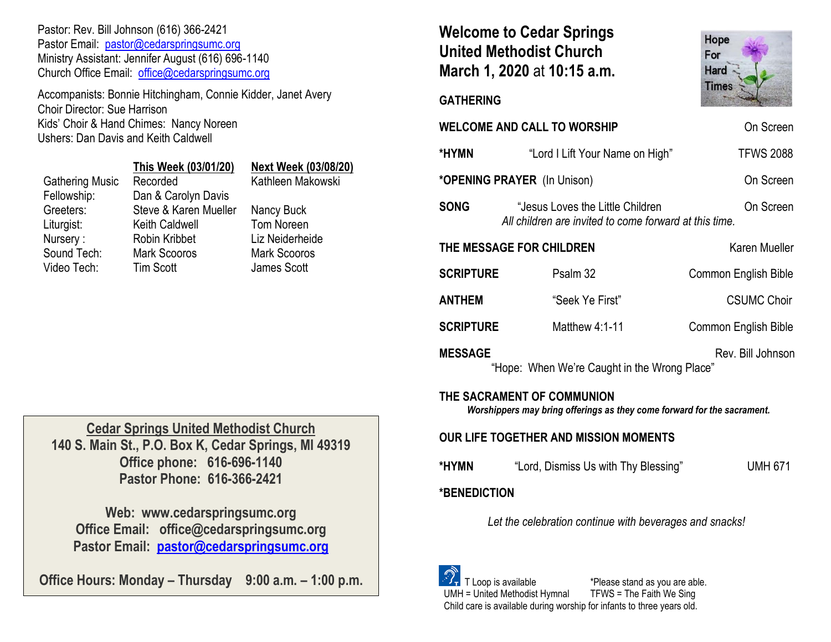Pastor: Rev. Bill Johnson (616) 366-2421 Pastor Email: [pastor@cedarspringsumc.org](mailto:pastor@cedarspringsumc.org) Ministry Assistant: Jennifer August (616) 696-1140 Church Office Email: [office@cedarspringsumc.org](mailto:office@cedarspringsumc.org)

Accompanists: Bonnie Hitchingham, Connie Kidder, Janet Avery Choir Director: Sue Harrison Kids' Choir & Hand Chimes: Nancy Noreen Ushers: Dan Davis and Keith Caldwell

## Gathering Music Recorded Fellowship: Dan & Carolyn Davis Greeters: Steve & Karen Mueller Nancy Buck Liturgist: Keith Caldwell Tom Noreen

Nursery : Robin Kribbet Liz Neiderheide

# **This Week (03/01/20) Next Week (03/08/20)**

Sound Tech: Mark Scooros Mark Scooros Video Tech: Tim Scott James Scott

**Cedar Springs United Methodist Church 140 S. Main St., P.O. Box K, Cedar Springs, MI 49319 Office phone: 616-696-1140 Pastor Phone: 616-366-2421**

**Web: www.cedarspringsumc.org Office Email: office@cedarspringsumc.org Pastor Email: [pastor@cedarspringsumc.org](mailto:pastor@cedarspringsumc.org)**

**Office Hours: Monday – Thursday 9:00 a.m. – 1:00 p.m.**

## **Welcome to Cedar Springs United Methodist Church March 1, 2020** at **10:15 a.m.**



**GATHERING** 

| <b>WELCOME AND CALL TO WORSHIP</b><br>On Screen                                                       |                                                                                                         |                             |  |  |  |  |  |
|-------------------------------------------------------------------------------------------------------|---------------------------------------------------------------------------------------------------------|-----------------------------|--|--|--|--|--|
| *HYMN                                                                                                 | "Lord I Lift Your Name on High"                                                                         | <b>TFWS 2088</b>            |  |  |  |  |  |
|                                                                                                       | *OPENING PRAYER (In Unison)                                                                             | On Screen                   |  |  |  |  |  |
| <b>SONG</b>                                                                                           | "Jesus Loves the Little Children<br>On Screen<br>All children are invited to come forward at this time. |                             |  |  |  |  |  |
| THE MESSAGE FOR CHILDREN<br>Karen Mueller                                                             |                                                                                                         |                             |  |  |  |  |  |
| <b>SCRIPTURE</b>                                                                                      | Psalm 32                                                                                                | <b>Common English Bible</b> |  |  |  |  |  |
| ANTHEM                                                                                                | "Seek Ye First"                                                                                         | <b>CSUMC Choir</b>          |  |  |  |  |  |
| <b>SCRIPTURE</b>                                                                                      | Matthew $4:1-11$                                                                                        | <b>Common English Bible</b> |  |  |  |  |  |
| <b>MESSAGE</b><br>Rev. Bill Johnson<br>"Hope: When We're Caught in the Wrong Place"                   |                                                                                                         |                             |  |  |  |  |  |
| THE SACRAMENT OF COMMUNION<br>Worshippers may bring offerings as they come forward for the sacrament. |                                                                                                         |                             |  |  |  |  |  |
| OUR LIFE TOGETHER AND MISSION MOMENTS                                                                 |                                                                                                         |                             |  |  |  |  |  |

**\*HYMN** "Lord, Dismiss Us with Thy Blessing" UMH 671

## **\*BENEDICTION**

*Let the celebration continue with beverages and snacks!*